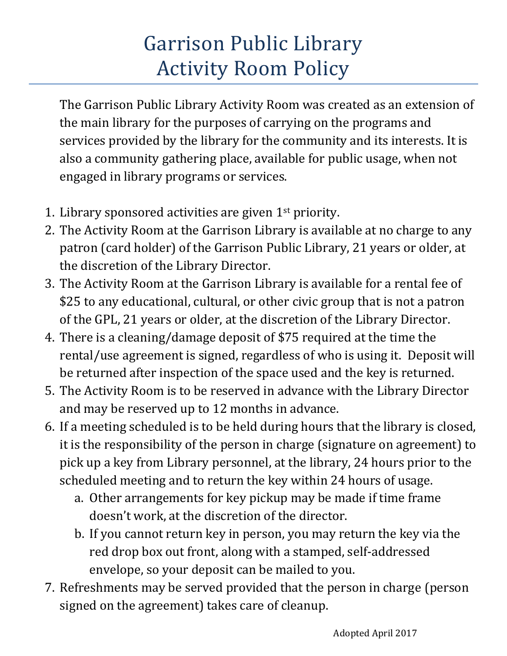## Garrison Public Library Activity Room Policy

The Garrison Public Library Activity Room was created as an extension of the main library for the purposes of carrying on the programs and services provided by the library for the community and its interests. It is also a community gathering place, available for public usage, when not engaged in library programs or services.

- 1. Library sponsored activities are given 1<sup>st</sup> priority.
- 2. The Activity Room at the Garrison Library is available at no charge to any patron (card holder) of the Garrison Public Library, 21 years or older, at the discretion of the Library Director.
- 3. The Activity Room at the Garrison Library is available for a rental fee of \$25 to any educational, cultural, or other civic group that is not a patron of the GPL, 21 years or older, at the discretion of the Library Director.
- 4. There is a cleaning/damage deposit of \$75 required at the time the rental/use agreement is signed, regardless of who is using it. Deposit will be returned after inspection of the space used and the key is returned.
- 5. The Activity Room is to be reserved in advance with the Library Director and may be reserved up to 12 months in advance.
- 6. If a meeting scheduled is to be held during hours that the library is closed, it is the responsibility of the person in charge (signature on agreement) to pick up a key from Library personnel, at the library, 24 hours prior to the scheduled meeting and to return the key within 24 hours of usage.
	- a. Other arrangements for key pickup may be made if time frame doesn't work, at the discretion of the director.
	- b. If you cannot return key in person, you may return the key via the red drop box out front, along with a stamped, self-addressed envelope, so your deposit can be mailed to you.
- 7. Refreshments may be served provided that the person in charge (person signed on the agreement) takes care of cleanup.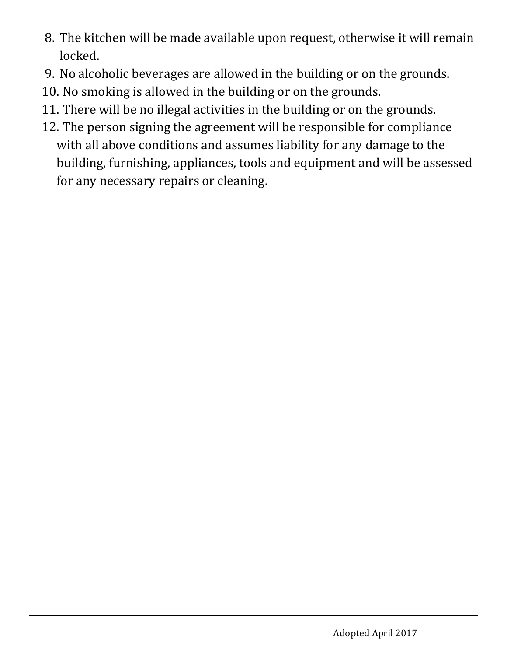- 8. The kitchen will be made available upon request, otherwise it will remain locked.
- 9. No alcoholic beverages are allowed in the building or on the grounds.
- 10. No smoking is allowed in the building or on the grounds.
- 11. There will be no illegal activities in the building or on the grounds.
- 12. The person signing the agreement will be responsible for compliance with all above conditions and assumes liability for any damage to the building, furnishing, appliances, tools and equipment and will be assessed for any necessary repairs or cleaning.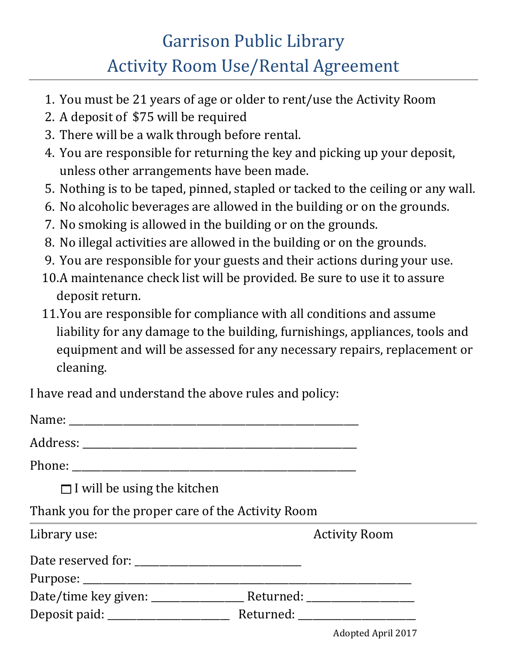## Garrison Public Library Activity Room Use/Rental Agreement

- 1. You must be 21 years of age or older to rent/use the Activity Room
- 2. A deposit of \$75 will be required
- 3. There will be a walk through before rental.
- 4. You are responsible for returning the key and picking up your deposit, unless other arrangements have been made.
- 5. Nothing is to be taped, pinned, stapled or tacked to the ceiling or any wall.
- 6. No alcoholic beverages are allowed in the building or on the grounds.
- 7. No smoking is allowed in the building or on the grounds.
- 8. No illegal activities are allowed in the building or on the grounds.
- 9. You are responsible for your guests and their actions during your use.
- 10.A maintenance check list will be provided. Be sure to use it to assure deposit return.
- 11.You are responsible for compliance with all conditions and assume liability for any damage to the building, furnishings, appliances, tools and equipment and will be assessed for any necessary repairs, replacement or cleaning.

I have read and understand the above rules and policy:

| $\Box$ I will be using the kitchen                 |                      |
|----------------------------------------------------|----------------------|
| Thank you for the proper care of the Activity Room |                      |
| Library use:                                       | <b>Activity Room</b> |
|                                                    |                      |
|                                                    |                      |
|                                                    |                      |
|                                                    |                      |

Adopted April 2017